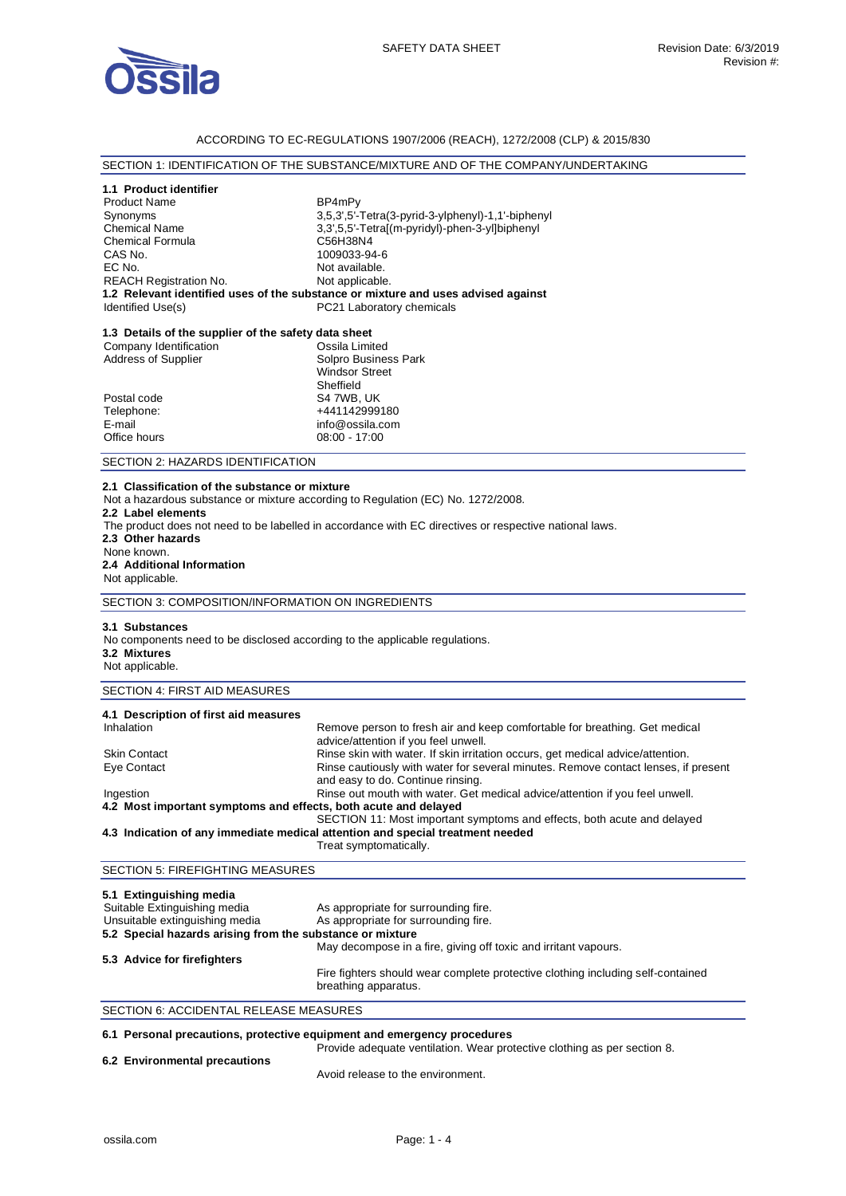

### ACCORDING TO EC-REGULATIONS 1907/2006 (REACH), 1272/2008 (CLP) & 2015/830

# SECTION 1: IDENTIFICATION OF THE SUBSTANCE/MIXTURE AND OF THE COMPANY/UNDERTAKING

## **1.1 Product identifier**

| <b>Product Name</b>           | BP4mPy                                                                            |
|-------------------------------|-----------------------------------------------------------------------------------|
| Synonyms                      | 3,5,3',5'-Tetra(3-pyrid-3-ylphenyl)-1,1'-biphenyl                                 |
| <b>Chemical Name</b>          | 3.3'.5.5'-Tetral(m-pyridyl)-phen-3-yllbiphenyl                                    |
| <b>Chemical Formula</b>       | C56H38N4                                                                          |
| CAS No.                       | 1009033-94-6                                                                      |
| EC No.                        | Not available.                                                                    |
| <b>REACH Registration No.</b> | Not applicable.                                                                   |
|                               | 1.2 Relevant identified uses of the substance or mixture and uses advised against |
| Identified Use(s)             | PC21 Laboratory chemicals                                                         |

# **1.3 Details of the supplier of the safety data sheet**

| Company Identification     | Ossila Limited        |
|----------------------------|-----------------------|
| <b>Address of Supplier</b> | Solpro Business Park  |
|                            | <b>Windsor Street</b> |
|                            | Sheffield             |
| Postal code                | S4 7WB, UK            |
| Telephone:                 | +441142999180         |
| E-mail                     | info@ossila.com       |
| Office hours               | $08:00 - 17:00$       |
|                            |                       |

### SECTION 2: HAZARDS IDENTIFICATION

#### **2.1 Classification of the substance or mixture**

Not a hazardous substance or mixture according to Regulation (EC) No. 1272/2008.

#### **2.2 Label elements**

The product does not need to be labelled in accordance with EC directives or respective national laws.

**2.3 Other hazards** 

#### None known. **2.4 Additional Information**  Not applicable.

SECTION 3: COMPOSITION/INFORMATION ON INGREDIENTS

#### **3.1 Substances**

No components need to be disclosed according to the applicable regulations. **3.2 Mixtures** 

# Not applicable.

# SECTION 4: FIRST AID MEASURES

| 4.1 Description of first aid measures                           |                                                                                                                         |
|-----------------------------------------------------------------|-------------------------------------------------------------------------------------------------------------------------|
| Inhalation                                                      | Remove person to fresh air and keep comfortable for breathing. Get medical<br>advice/attention if you feel unwell.      |
| <b>Skin Contact</b>                                             | Rinse skin with water. If skin irritation occurs, get medical advice/attention.                                         |
| Eye Contact                                                     | Rinse cautiously with water for several minutes. Remove contact lenses, if present<br>and easy to do. Continue rinsing. |
| Ingestion                                                       | Rinse out mouth with water. Get medical advice/attention if you feel unwell.                                            |
| 4.2 Most important symptoms and effects, both acute and delayed |                                                                                                                         |
|                                                                 | SECTION 11: Most important symptoms and effects, both acute and delayed                                                 |
|                                                                 | 4.3 Indication of any immediate medical attention and special treatment needed                                          |
|                                                                 | Treat symptomatically.                                                                                                  |

# SECTION 5: FIREFIGHTING MEASURES

| 5.1 Extinguishing media                                   |                                                                                                         |
|-----------------------------------------------------------|---------------------------------------------------------------------------------------------------------|
| Suitable Extinguishing media                              | As appropriate for surrounding fire.                                                                    |
| Unsuitable extinguishing media                            | As appropriate for surrounding fire.                                                                    |
| 5.2 Special hazards arising from the substance or mixture |                                                                                                         |
|                                                           | May decompose in a fire, giving off toxic and irritant vapours.                                         |
| 5.3 Advice for firefighters                               |                                                                                                         |
|                                                           | Fire fighters should wear complete protective clothing including self-contained<br>breathing apparatus. |

## SECTION 6: ACCIDENTAL RELEASE MEASURES

## **6.1 Personal precautions, protective equipment and emergency procedures**

| 6.2 Environmental precautions | Provide adequate ventilation. Wear protective clothing as per section 8. |
|-------------------------------|--------------------------------------------------------------------------|
|                               | Avoid release to the environment.                                        |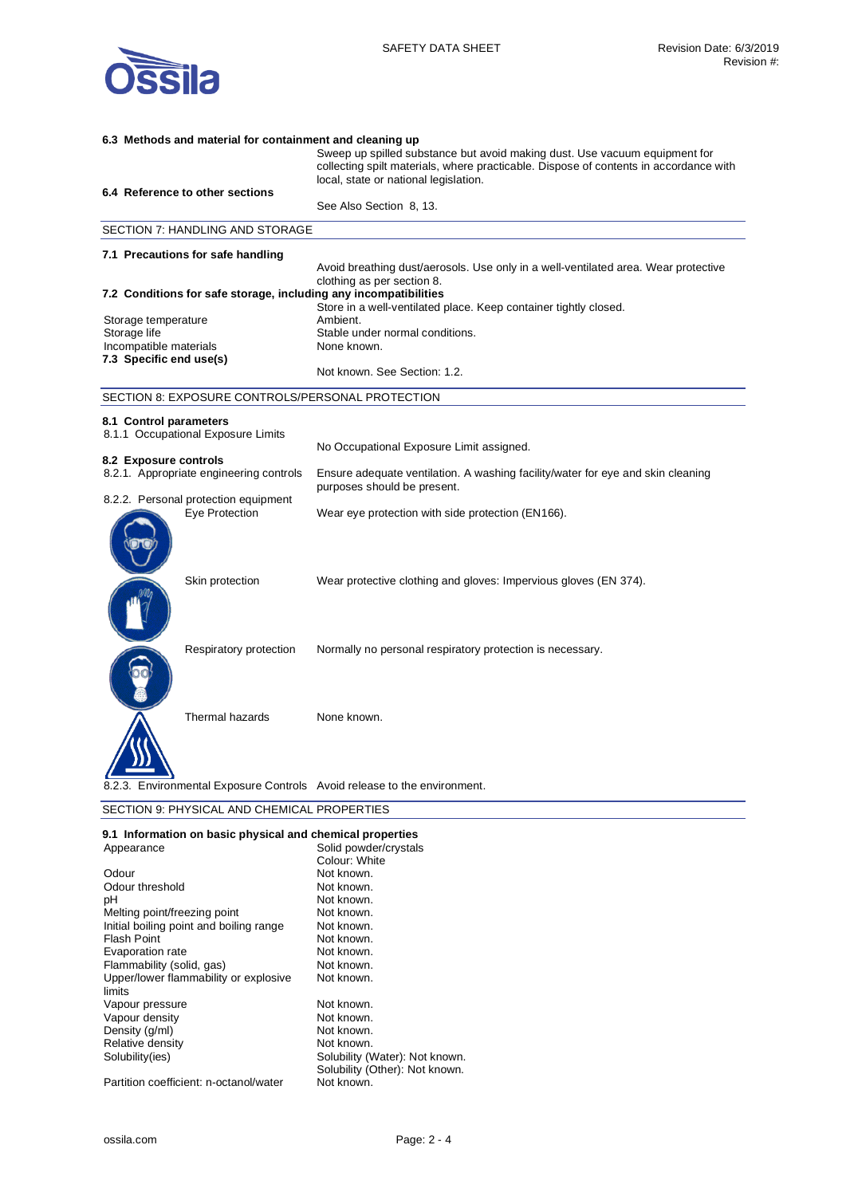

| 6.3 Methods and material for containment and cleaning up                 |                                                                                                                                                                     |
|--------------------------------------------------------------------------|---------------------------------------------------------------------------------------------------------------------------------------------------------------------|
|                                                                          | Sweep up spilled substance but avoid making dust. Use vacuum equipment for<br>collecting spilt materials, where practicable. Dispose of contents in accordance with |
|                                                                          | local, state or national legislation.                                                                                                                               |
| 6.4 Reference to other sections                                          | See Also Section 8, 13.                                                                                                                                             |
| SECTION 7: HANDLING AND STORAGE                                          |                                                                                                                                                                     |
| 7.1 Precautions for safe handling                                        |                                                                                                                                                                     |
|                                                                          | Avoid breathing dust/aerosols. Use only in a well-ventilated area. Wear protective<br>clothing as per section 8.                                                    |
| 7.2 Conditions for safe storage, including any incompatibilities         |                                                                                                                                                                     |
|                                                                          | Store in a well-ventilated place. Keep container tightly closed.                                                                                                    |
| Storage temperature                                                      | Ambient.                                                                                                                                                            |
| Storage life                                                             | Stable under normal conditions.                                                                                                                                     |
| Incompatible materials                                                   | None known.                                                                                                                                                         |
| 7.3 Specific end use(s)                                                  | Not known. See Section: 1.2.                                                                                                                                        |
|                                                                          |                                                                                                                                                                     |
| SECTION 8: EXPOSURE CONTROLS/PERSONAL PROTECTION                         |                                                                                                                                                                     |
| 8.1 Control parameters                                                   |                                                                                                                                                                     |
| 8.1.1 Occupational Exposure Limits                                       |                                                                                                                                                                     |
|                                                                          | No Occupational Exposure Limit assigned.                                                                                                                            |
| 8.2 Exposure controls                                                    |                                                                                                                                                                     |
| 8.2.1. Appropriate engineering controls                                  | Ensure adequate ventilation. A washing facility/water for eye and skin cleaning<br>purposes should be present.                                                      |
| 8.2.2. Personal protection equipment<br>Eye Protection                   | Wear eye protection with side protection (EN166).                                                                                                                   |
|                                                                          |                                                                                                                                                                     |
| Skin protection                                                          | Wear protective clothing and gloves: Impervious gloves (EN 374).                                                                                                    |
|                                                                          |                                                                                                                                                                     |
|                                                                          |                                                                                                                                                                     |
|                                                                          |                                                                                                                                                                     |
| Respiratory protection                                                   | Normally no personal respiratory protection is necessary.                                                                                                           |
|                                                                          |                                                                                                                                                                     |
|                                                                          |                                                                                                                                                                     |
| Thermal hazards                                                          | None known.                                                                                                                                                         |
|                                                                          |                                                                                                                                                                     |
| 8.2.3. Environmental Exposure Controls Avoid release to the environment. |                                                                                                                                                                     |
| SECTION 9: PHYSICAL AND CHEMICAL PROPERTIES                              |                                                                                                                                                                     |

| 9.1 Information on basic physical and chemical properties |                                |
|-----------------------------------------------------------|--------------------------------|
| Appearance                                                | Solid powder/crystals          |
|                                                           | Colour: White                  |
| Odour                                                     | Not known.                     |
| Odour threshold                                           | Not known.                     |
| рH                                                        | Not known.                     |
| Melting point/freezing point                              | Not known.                     |
| Initial boiling point and boiling range                   | Not known.                     |
| Flash Point                                               | Not known.                     |
| Evaporation rate                                          | Not known.                     |
| Flammability (solid, gas)                                 | Not known.                     |
| Upper/lower flammability or explosive                     | Not known.                     |
| limits                                                    |                                |
| Vapour pressure                                           | Not known.                     |
| Vapour density                                            | Not known.                     |
| Density (g/ml)                                            | Not known.                     |
| Relative density                                          | Not known.                     |
| Solubility(ies)                                           | Solubility (Water): Not known. |
|                                                           | Solubility (Other): Not known. |
| Partition coefficient: n-octanol/water                    | Not known.                     |
|                                                           |                                |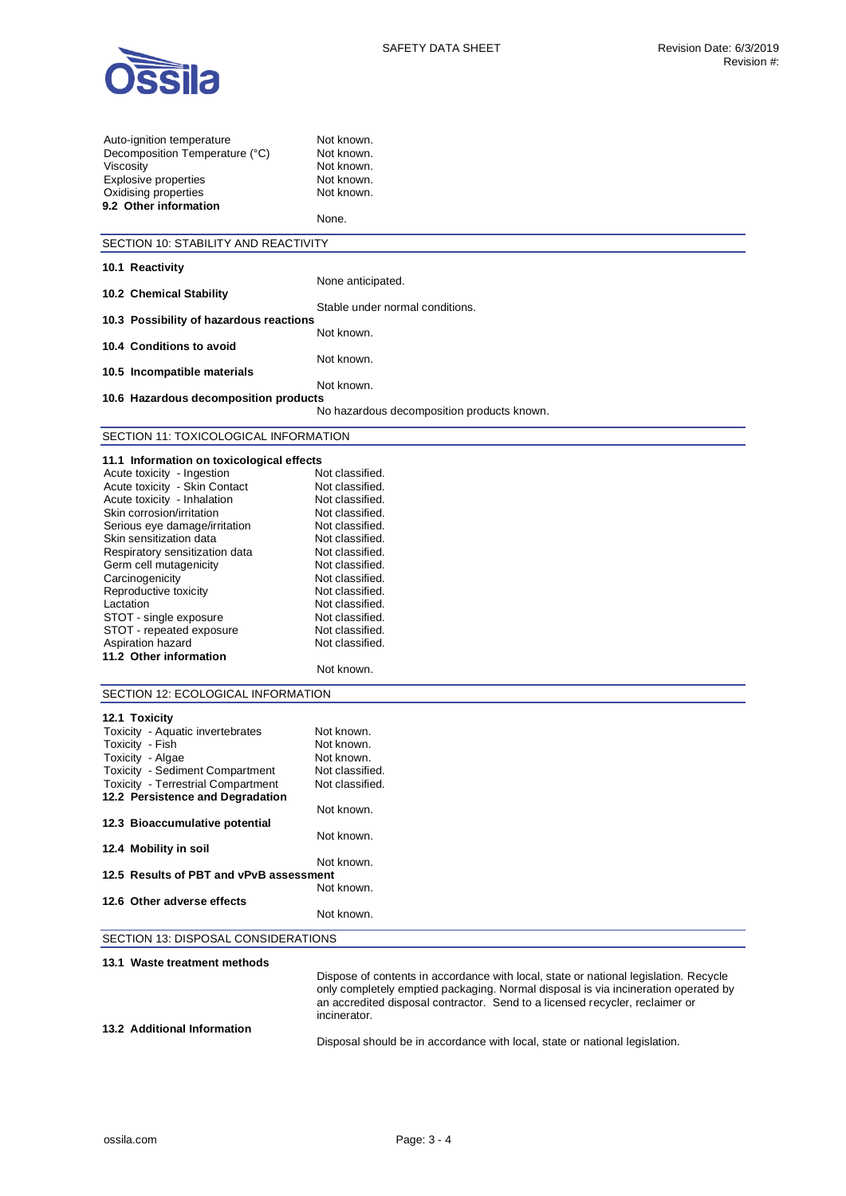

| Auto-ignition temperature<br>Decomposition Temperature (°C)<br>Viscosity<br>Explosive properties<br>Oxidising properties<br>9.2 Other information | Not known.<br>Not known.<br>Not known.<br>Not known.<br>Not known.<br>None.          |
|---------------------------------------------------------------------------------------------------------------------------------------------------|--------------------------------------------------------------------------------------|
| SECTION 10: STABILITY AND REACTIVITY                                                                                                              |                                                                                      |
| 10.1 Reactivity                                                                                                                                   |                                                                                      |
|                                                                                                                                                   | None anticipated.                                                                    |
| 10.2 Chemical Stability                                                                                                                           |                                                                                      |
| 10.3 Possibility of hazardous reactions                                                                                                           | Stable under normal conditions.                                                      |
|                                                                                                                                                   | Not known.                                                                           |
| 10.4 Conditions to avoid                                                                                                                          | Not known.                                                                           |
| 10.5 Incompatible materials                                                                                                                       |                                                                                      |
|                                                                                                                                                   | Not known.                                                                           |
| 10.6 Hazardous decomposition products                                                                                                             |                                                                                      |
|                                                                                                                                                   | No hazardous decomposition products known.                                           |
| SECTION 11: TOXICOLOGICAL INFORMATION                                                                                                             |                                                                                      |
| 11.1 Information on toxicological effects                                                                                                         |                                                                                      |
| Acute toxicity - Ingestion                                                                                                                        | Not classified.                                                                      |
| Acute toxicity - Skin Contact                                                                                                                     | Not classified.                                                                      |
| Acute toxicity - Inhalation                                                                                                                       | Not classified.                                                                      |
| Skin corrosion/irritation                                                                                                                         | Not classified.                                                                      |
| Serious eye damage/irritation                                                                                                                     | Not classified.                                                                      |
| Skin sensitization data                                                                                                                           | Not classified.                                                                      |
| Respiratory sensitization data                                                                                                                    | Not classified.                                                                      |
| Germ cell mutagenicity                                                                                                                            | Not classified.                                                                      |
| Carcinogenicity                                                                                                                                   | Not classified.                                                                      |
| Reproductive toxicity<br>Lactation                                                                                                                | Not classified.<br>Not classified.                                                   |
| STOT - single exposure                                                                                                                            | Not classified.                                                                      |
| STOT - repeated exposure                                                                                                                          | Not classified.                                                                      |
| Aspiration hazard                                                                                                                                 | Not classified.                                                                      |
| 11.2 Other information                                                                                                                            |                                                                                      |
|                                                                                                                                                   | Not known.                                                                           |
|                                                                                                                                                   |                                                                                      |
| SECTION 12: ECOLOGICAL INFORMATION                                                                                                                |                                                                                      |
| 12.1 Toxicity                                                                                                                                     |                                                                                      |
| Toxicity - Aquatic invertebrates                                                                                                                  | Not known.                                                                           |
| Toxicity - Fish                                                                                                                                   | Not known.                                                                           |
| Toxicity - Algae                                                                                                                                  | Not known.                                                                           |
| <b>Toxicity - Sediment Compartment</b>                                                                                                            | Not classified.<br>Not classified.                                                   |
| <b>Toxicity - Terrestrial Compartment</b><br>12.2 Persistence and Degradation                                                                     |                                                                                      |
|                                                                                                                                                   | Not known.                                                                           |
| 12.3 Bioaccumulative potential                                                                                                                    |                                                                                      |
|                                                                                                                                                   | Not known.                                                                           |
| 12.4 Mobility in soil                                                                                                                             |                                                                                      |
| 12.5 Results of PBT and vPvB assessment                                                                                                           | Not known.                                                                           |
|                                                                                                                                                   | Not known.                                                                           |
| 12.6 Other adverse effects                                                                                                                        |                                                                                      |
|                                                                                                                                                   | Not known.                                                                           |
| SECTION 13: DISPOSAL CONSIDERATIONS                                                                                                               |                                                                                      |
|                                                                                                                                                   |                                                                                      |
| 13.1 Waste treatment methods                                                                                                                      |                                                                                      |
|                                                                                                                                                   | Dispose of contents in accordance with local, state or national legislation. Recycle |
|                                                                                                                                                   | only completely emptied packaging. Normal disposal is via incineration operated by   |

Disposal should be in accordance with local, state or national legislation.

an accredited disposal contractor. Send to a licensed recycler, reclaimer or